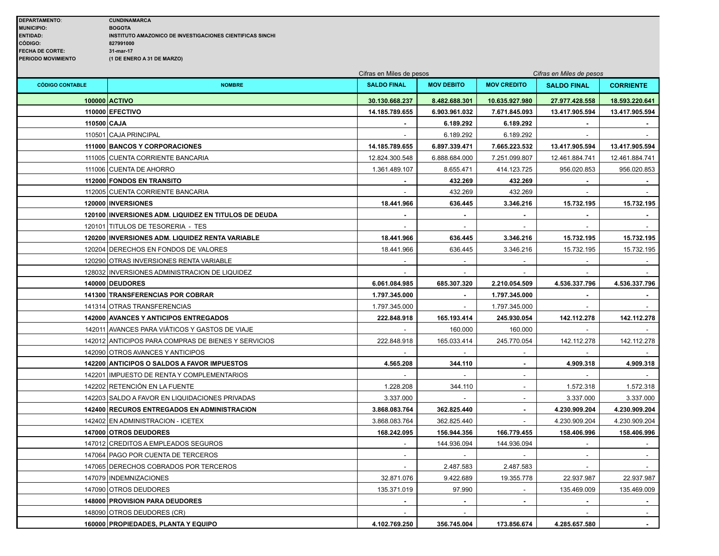|                        |                                                      | Cifras en Miles de pesos |                   |                          | Cifras en Miles de pesos |                  |
|------------------------|------------------------------------------------------|--------------------------|-------------------|--------------------------|--------------------------|------------------|
| <b>CÓDIGO CONTABLE</b> | <b>NOMBRE</b>                                        | <b>SALDO FINAL</b>       | <b>MOV DEBITO</b> | <b>MOV CREDITO</b>       | <b>SALDO FINAL</b>       | <b>CORRIENTE</b> |
|                        | 100000 ACTIVO                                        | 30.130.668.237           | 8.482.688.301     | 10.635.927.980           | 27.977.428.558           | 18.593.220.641   |
|                        | 110000 EFECTIVO                                      | 14.185.789.655           | 6.903.961.032     | 7.671.845.093            | 13.417.905.594           | 13.417.905.594   |
| 110500 CAJA            |                                                      |                          | 6.189.292         | 6.189.292                |                          |                  |
|                        | 110501 CAJA PRINCIPAL                                |                          | 6.189.292         | 6.189.292                |                          |                  |
|                        | 111000 BANCOS Y CORPORACIONES                        | 14.185.789.655           | 6.897.339.471     | 7.665.223.532            | 13.417.905.594           | 13.417.905.594   |
|                        | 111005 CUENTA CORRIENTE BANCARIA                     | 12.824.300.548           | 6.888.684.000     | 7.251.099.807            | 12.461.884.741           | 12.461.884.741   |
|                        | 111006 CUENTA DE AHORRO                              | 1.361.489.107            | 8.655.471         | 414.123.725              | 956.020.853              | 956.020.853      |
|                        | 112000 FONDOS EN TRANSITO                            |                          | 432.269           | 432.269                  |                          |                  |
|                        | 112005 CUENTA CORRIENTE BANCARIA                     | $\sim$                   | 432.269           | 432.269                  | $\sim$                   |                  |
|                        | 120000   INVERSIONES                                 | 18.441.966               | 636.445           | 3.346.216                | 15.732.195               | 15.732.195       |
|                        | 120100 INVERSIONES ADM. LIQUIDEZ EN TITULOS DE DEUDA |                          |                   |                          |                          |                  |
|                        | 120101 TITULOS DE TESORERIA - TES                    |                          |                   |                          |                          |                  |
|                        | 120200 INVERSIONES ADM. LIQUIDEZ RENTA VARIABLE      | 18.441.966               | 636.445           | 3.346.216                | 15.732.195               | 15.732.195       |
|                        | 120204 DERECHOS EN FONDOS DE VALORES                 | 18.441.966               | 636.445           | 3.346.216                | 15.732.195               | 15.732.195       |
|                        | 120290 OTRAS INVERSIONES RENTA VARIABLE              |                          |                   |                          |                          |                  |
|                        | 128032 INVERSIONES ADMINISTRACION DE LIQUIDEZ        |                          | $\sim$            | $\sim$                   |                          |                  |
|                        | 140000 DEUDORES                                      | 6.061.084.985            | 685.307.320       | 2.210.054.509            | 4.536.337.796            | 4.536.337.796    |
|                        | <b>141300 TRANSFERENCIAS POR COBRAR</b>              | 1.797.345.000            | $\blacksquare$    | 1.797.345.000            | $\blacksquare$           |                  |
|                        | 141314 OTRAS TRANSFERENCIAS                          | 1.797.345.000            |                   | 1.797.345.000            |                          |                  |
|                        | 142000 AVANCES Y ANTICIPOS ENTREGADOS                | 222.848.918              | 165.193.414       | 245.930.054              | 142.112.278              | 142.112.278      |
|                        | 142011 AVANCES PARA VIÁTICOS Y GASTOS DE VIAJE       |                          | 160.000           | 160.000                  |                          |                  |
|                        | 142012 ANTICIPOS PARA COMPRAS DE BIENES Y SERVICIOS  | 222.848.918              | 165.033.414       | 245.770.054              | 142.112.278              | 142.112.278      |
|                        | 142090 OTROS AVANCES Y ANTICIPOS                     |                          |                   | $\overline{a}$           |                          |                  |
|                        | 142200 ANTICIPOS O SALDOS A FAVOR IMPUESTOS          | 4.565.208                | 344.110           | $\blacksquare$           | 4.909.318                | 4.909.318        |
|                        | 142201 IMPUESTO DE RENTA Y COMPLEMENTARIOS           |                          |                   | $\overline{\phantom{a}}$ |                          |                  |
|                        | 142202 RETENCIÓN EN LA FUENTE                        | 1.228.208                | 344.110           | $\overline{\phantom{a}}$ | 1.572.318                | 1.572.318        |
|                        | 142203 SALDO A FAVOR EN LIQUIDACIONES PRIVADAS       | 3.337.000                |                   |                          | 3.337.000                | 3.337.000        |
|                        | 142400 RECUROS ENTREGADOS EN ADMINISTRACION          | 3.868.083.764            | 362.825.440       |                          | 4.230.909.204            | 4.230.909.204    |
|                        | 142402 EN ADMINISTRACION - ICETEX                    | 3.868.083.764            | 362.825.440       |                          | 4.230.909.204            | 4.230.909.204    |
|                        | 147000 OTROS DEUDORES                                | 168.242.095              | 156.944.356       | 166.779.455              | 158.406.996              | 158.406.996      |
|                        | 147012 CREDITOS A EMPLEADOS SEGUROS                  |                          | 144.936.094       | 144.936.094              |                          |                  |
|                        | 147064 PAGO POR CUENTA DE TERCEROS                   |                          |                   |                          | $\sim$                   |                  |
|                        | 147065 DERECHOS COBRADOS POR TERCEROS                |                          | 2.487.583         | 2.487.583                |                          |                  |
|                        | 147079 INDEMNIZACIONES                               | 32.871.076               | 9.422.689         | 19.355.778               | 22.937.987               | 22.937.987       |
|                        | 147090 OTROS DEUDORES                                | 135.371.019              | 97.990            |                          | 135.469.009              | 135.469.009      |
|                        | 148000 PROVISION PARA DEUDORES                       |                          |                   |                          |                          |                  |
|                        | 148090 OTROS DEUDORES (CR)                           | $\sim$                   | $\sim$            |                          |                          |                  |
|                        | 160000 PROPIEDADES, PLANTA Y EQUIPO                  | 4.102.769.250            | 356.745.004       | 173.856.674              | 4.285.657.580            | $\blacksquare$   |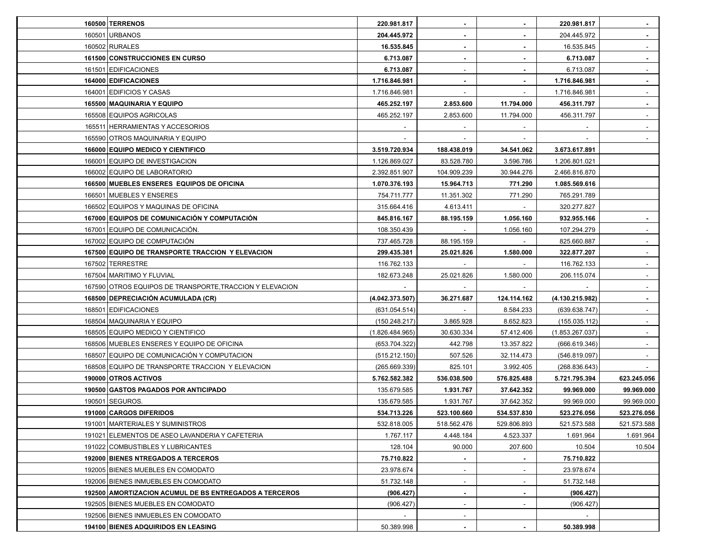| <b>160500 TERRENOS</b>                                   | 220.981.817     | $\blacksquare$ | $\sim$                   | 220.981.817     |             |
|----------------------------------------------------------|-----------------|----------------|--------------------------|-----------------|-------------|
| 160501 URBANOS                                           | 204.445.972     | $\blacksquare$ |                          | 204.445.972     |             |
| 160502 RURALES                                           | 16.535.845      | $\blacksquare$ |                          | 16.535.845      |             |
| 161500 CONSTRUCCIONES EN CURSO                           | 6.713.087       | $\blacksquare$ |                          | 6.713.087       | $\sim$      |
| 161501 EDIFICACIONES                                     | 6.713.087       |                |                          | 6.713.087       |             |
| 164000 EDIFICACIONES                                     | 1.716.846.981   | $\sim$         |                          | 1.716.846.981   |             |
| 164001 EDIFICIOS Y CASAS                                 | 1.716.846.981   |                |                          | 1.716.846.981   |             |
| 165500 MAQUINARIA Y EQUIPO                               | 465.252.197     | 2.853.600      | 11.794.000               | 456.311.797     |             |
| 165508 EQUIPOS AGRICOLAS                                 | 465.252.197     | 2.853.600      | 11.794.000               | 456.311.797     |             |
| 165511 HERRAMIENTAS Y ACCESORIOS                         |                 |                |                          |                 |             |
| 165590 OTROS MAQUINARIA Y EQUIPO                         |                 |                |                          |                 |             |
| 166000 EQUIPO MEDICO Y CIENTIFICO                        | 3.519.720.934   | 188.438.019    | 34.541.062               | 3.673.617.891   |             |
| 166001 EQUIPO DE INVESTIGACION                           | 1.126.869.027   | 83.528.780     | 3.596.786                | 1.206.801.021   |             |
| 166002 EQUIPO DE LABORATORIO                             | 2.392.851.907   | 104.909.239    | 30.944.276               | 2.466.816.870   |             |
| 166500 MUEBLES ENSERES EQUIPOS DE OFICINA                | 1.070.376.193   | 15.964.713     | 771.290                  | 1.085.569.616   |             |
| 166501 MUEBLES Y ENSERES                                 | 754.711.777     | 11.351.302     | 771.290                  | 765.291.789     |             |
| 166502 EQUIPOS Y MAQUINAS DE OFICINA                     | 315.664.416     | 4.613.411      |                          | 320.277.827     |             |
| 167000 EQUIPOS DE COMUNICACIÓN Y COMPUTACIÓN             | 845.816.167     | 88.195.159     | 1.056.160                | 932.955.166     |             |
| 167001 EQUIPO DE COMUNICACIÓN.                           | 108.350.439     |                | 1.056.160                | 107.294.279     |             |
| 167002 EQUIPO DE COMPUTACIÓN                             | 737.465.728     | 88.195.159     |                          | 825.660.887     |             |
| 167500 EQUIPO DE TRANSPORTE TRACCION Y ELEVACION         | 299.435.381     | 25.021.826     | 1.580.000                | 322.877.207     | $\sim$      |
| 167502 TERRESTRE                                         | 116.762.133     |                |                          | 116.762.133     | $\sim$      |
| 167504 MARITIMO Y FLUVIAL                                | 182.673.248     | 25.021.826     | 1.580.000                | 206.115.074     | $\sim$      |
| 167590 OTROS EQUIPOS DE TRANSPORTE, TRACCION Y ELEVACION |                 |                |                          |                 |             |
| 168500 DEPRECIACIÓN ACUMULADA (CR)                       | (4.042.373.507) | 36.271.687     | 124.114.162              | (4.130.215.982) |             |
| 168501 EDIFICACIONES                                     | (631.054.514)   |                | 8.584.233                | (639.638.747)   |             |
| 168504   MAQUINARIA Y EQUIPO                             | (150.248.217)   | 3.865.928      | 8.652.823                | (155.035.112)   |             |
| 168505 EQUIPO MEDICO Y CIENTIFICO                        | (1.826.484.965) | 30.630.334     | 57.412.406               | (1.853.267.037) |             |
| 168506 MUEBLES ENSERES Y EQUIPO DE OFICINA               | (653.704.322)   | 442.798        | 13.357.822               | (666.619.346)   |             |
| 168507 EQUIPO DE COMUNICACIÓN Y COMPUTACION              | (515.212.150)   | 507.526        | 32.114.473               | (546.819.097)   |             |
| 168508 EQUIPO DE TRANSPORTE TRACCION Y ELEVACION         | (265.669.339)   | 825.101        | 3.992.405                | (268.836.643)   |             |
| 190000 OTROS ACTIVOS                                     | 5.762.582.382   | 536.038.500    | 576.825.488              | 5.721.795.394   | 623.245.056 |
| 190500 GASTOS PAGADOS POR ANTICIPADO                     | 135.679.585     | 1.931.767      | 37.642.352               | 99.969.000      | 99.969.000  |
| 190501 SEGUROS.                                          | 135.679.585     | 1.931.767      | 37.642.352               | 99.969.000      | 99.969.000  |
| 191000 CARGOS DIFERIDOS                                  | 534.713.226     | 523.100.660    | 534.537.830              | 523.276.056     | 523.276.056 |
| 191001 MARTERIALES Y SUMINISTROS                         | 532.818.005     | 518.562.476    | 529.806.893              | 521.573.588     | 521.573.588 |
| 191021 ELEMENTOS DE ASEO LAVANDERIA Y CAFETERIA          | 1.767.117       | 4.448.184      | 4.523.337                | 1.691.964       | 1.691.964   |
| 191022 COMBUSTIBLES Y LUBRICANTES                        | 128.104         | 90.000         | 207.600                  | 10.504          | 10.504      |
| 192000 BIENES NTREGADOS A TERCEROS                       | 75.710.822      | $\blacksquare$ |                          | 75.710.822      |             |
| 192005 BIENES MUEBLES EN COMODATO                        | 23.978.674      | $\sim$         |                          | 23.978.674      |             |
| 192006 BIENES INMUEBLES EN COMODATO                      | 51.732.148      | $\sim$         | $\overline{\phantom{a}}$ | 51.732.148      |             |
| 192500 AMORTIZACION ACUMUL DE BS ENTREGADOS A TERCEROS   | (906.427)       | $\sim$         |                          | (906.427)       |             |
| 192505 BIENES MUEBLES EN COMODATO                        | (906.427)       | $\blacksquare$ |                          | (906.427)       |             |
| 192506 BIENES INMUEBLES EN COMODATO                      |                 | ٠              |                          |                 |             |
| 194100 BIENES ADQUIRIDOS EN LEASING                      | 50.389.998      | $\blacksquare$ |                          | 50.389.998      |             |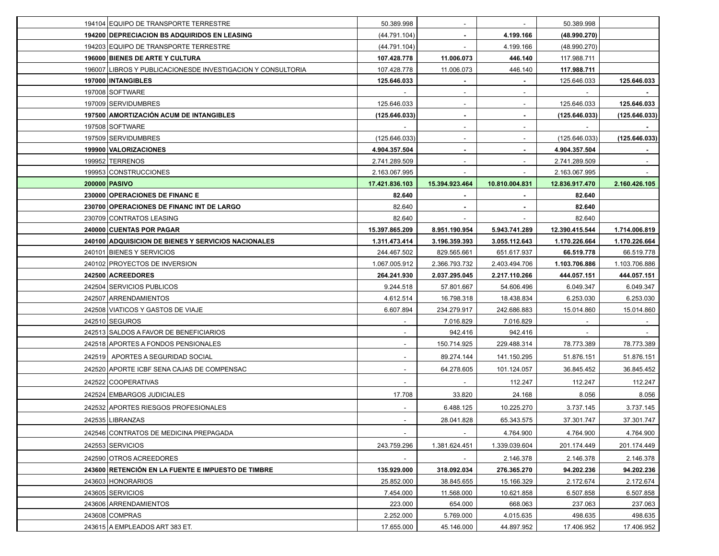| 194104 EQUIPO DE TRANSPORTE TERRESTRE                       | 50.389.998               | $\sim$         | $\sim$                     | 50.389.998               |                          |
|-------------------------------------------------------------|--------------------------|----------------|----------------------------|--------------------------|--------------------------|
| 194200 DEPRECIACION BS ADQUIRIDOS EN LEASING                | (44.791.104)             |                | 4.199.166                  | (48.990.270)             |                          |
| 194203 EQUIPO DE TRANSPORTE TERRESTRE                       | (44.791.104)             |                | 4.199.166                  | (48.990.270)             |                          |
| 196000 BIENES DE ARTE Y CULTURA                             | 107.428.778              | 11.006.073     | 446.140                    | 117.988.711              |                          |
| 196007 LIBROS Y PUBLICACIONESDE INVESTIGACION Y CONSULTORIA | 107.428.778              | 11.006.073     | 446.140                    | 117.988.711              |                          |
| 197000 INTANGIBLES                                          | 125.646.033              | $\sim$         |                            | 125.646.033              | 125.646.033              |
| 197008 SOFTWARE                                             |                          |                |                            |                          |                          |
| 197009 SERVIDUMBRES                                         | 125.646.033              | $\sim$         |                            | 125.646.033              | 125.646.033              |
| 197500 AMORTIZACIÓN ACUM DE INTANGIBLES                     | (125.646.033)            | $\sim$         | ۰                          | (125.646.033)            | (125.646.033)            |
| 197508 SOFTWARE                                             | $\sim$                   | $\sim$         | $\overline{\phantom{a}}$   | $\sim$                   |                          |
| 197509 SERVIDUMBRES                                         | (125.646.033)            | $\sim$         |                            | (125.646.033)            | (125.646.033)            |
| 199900 VALORIZACIONES                                       | 4.904.357.504            |                |                            | 4.904.357.504            |                          |
| 199952 TERRENOS                                             | 2.741.289.509            | $\sim$         |                            | 2.741.289.509            |                          |
| 199953 CONSTRUCCIONES                                       | 2.163.067.995            |                |                            | 2.163.067.995            |                          |
| 200000 PASIVO                                               | 17.421.836.103           | 15.394.923.464 | 10.810.004.831             | 12.836.917.470           | 2.160.426.105            |
| 230000 OPERACIONES DE FINANCE                               | 82.640                   |                |                            | 82.640                   |                          |
| 230700 OPERACIONES DE FINANC INT DE LARGO                   | 82.640                   |                |                            | 82.640                   |                          |
| 230709 CONTRATOS LEASING                                    | 82.640                   |                |                            | 82.640                   |                          |
| 240000 CUENTAS POR PAGAR                                    | 15.397.865.209           | 8.951.190.954  | 5.943.741.289              | 12.390.415.544           | 1.714.006.819            |
| 240100 ADQUISICION DE BIENES Y SERVICIOS NACIONALES         | 1.311.473.414            | 3.196.359.393  | 3.055.112.643              | 1.170.226.664            | 1.170.226.664            |
| 240101 BIENES Y SERVICIOS                                   | 244.467.502              | 829.565.661    | 651.617.937                | 66.519.778               | 66.519.778               |
| 240102 PROYECTOS DE INVERSION                               | 1.067.005.912            | 2.366.793.732  | 2.403.494.706              | 1.103.706.886            | 1.103.706.886            |
|                                                             |                          |                |                            |                          |                          |
| 242500 ACREEDORES                                           | 264.241.930              | 2.037.295.045  | 2.217.110.266              | 444.057.151              | 444.057.151              |
| 242504 SERVICIOS PUBLICOS                                   | 9.244.518                | 57.801.667     | 54.606.496                 | 6.049.347                | 6.049.347                |
| 242507 ARRENDAMIENTOS                                       | 4.612.514                | 16.798.318     | 18.438.834                 | 6.253.030                | 6.253.030                |
| 242508 VIATICOS Y GASTOS DE VIAJE                           | 6.607.894                | 234.279.917    | 242.686.883                | 15.014.860               | 15.014.860               |
| 242510 SEGUROS                                              |                          | 7.016.829      | 7.016.829                  |                          |                          |
| 242513 SALDOS A FAVOR DE BENEFICIARIOS                      |                          | 942.416        | 942.416                    |                          |                          |
| 242518 APORTES A FONDOS PENSIONALES                         | $\overline{\phantom{a}}$ | 150.714.925    | 229.488.314                | 78.773.389               | 78.773.389               |
| 242519 APORTES A SEGURIDAD SOCIAL                           |                          | 89.274.144     | 141.150.295                | 51.876.151               | 51.876.151               |
| 242520 APORTE ICBF SENA CAJAS DE COMPENSAC                  | $\overline{\phantom{a}}$ | 64.278.605     | 101.124.057                | 36.845.452               | 36.845.452               |
| 242522 COOPERATIVAS                                         | $\overline{\phantom{a}}$ |                | 112.247                    | 112.247                  | 112.247                  |
| 242524 EMBARGOS JUDICIALES                                  | 17.708                   | 33.820         |                            | 8.056                    | 8.056                    |
| 242532 APORTES RIESGOS PROFESIONALES                        |                          | 6.488.125      | 24.168<br>10.225.270       |                          |                          |
|                                                             |                          |                |                            | 3.737.145                | 3.737.145                |
| 242535 LIBRANZAS                                            |                          | 28.041.828     | 65.343.575                 | 37.301.747               | 37.301.747               |
| 242546 CONTRATOS DE MEDICINA PREPAGADA<br>242553 SERVICIOS  | 243.759.296              | 1.381.624.451  | 4.764.900<br>1.339.039.604 | 4.764.900<br>201.174.449 | 4.764.900<br>201.174.449 |
| 242590 OTROS ACREEDORES                                     | $\sim$                   | $\sim$         |                            |                          |                          |
| 243600 RETENCIÓN EN LA FUENTE E IMPUESTO DE TIMBRE          | 135.929.000              | 318.092.034    | 2.146.378<br>276.365.270   | 2.146.378<br>94.202.236  | 2.146.378<br>94.202.236  |
| 243603 HONORARIOS                                           | 25.852.000               | 38.845.655     | 15.166.329                 | 2.172.674                | 2.172.674                |
| 243605 SERVICIOS                                            | 7.454.000                | 11.568.000     | 10.621.858                 | 6.507.858                | 6.507.858                |
| 243606 ARRENDAMIENTOS                                       | 223.000                  | 654.000        | 668.063                    | 237.063                  | 237.063                  |
| 243608 COMPRAS                                              | 2.252.000                | 5.769.000      | 4.015.635                  | 498.635                  | 498.635                  |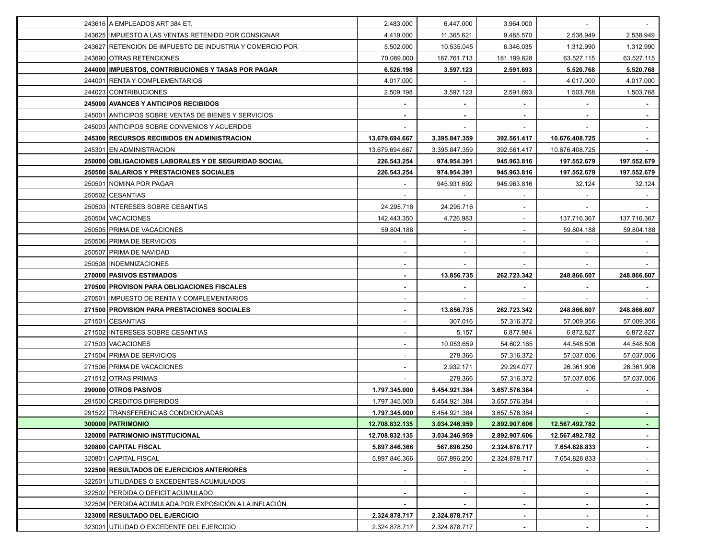| 243616 A EMPLEADOS ART 384 ET.                           | 2.483.000                | 6.447.000      | 3.964.000                      | $\sim$                   |             |
|----------------------------------------------------------|--------------------------|----------------|--------------------------------|--------------------------|-------------|
| 243625 IMPUESTO A LAS VENTAS RETENIDO POR CONSIGNAR      | 4.419.000                | 11.365.621     | 9.485.570                      | 2.538.949                | 2.538.949   |
| 243627 RETENCION DE IMPUESTO DE INDUSTRIA Y COMERCIO POR | 5.502.000                | 10.535.045     | 6.346.035                      | 1.312.990                | 1.312.990   |
| 243690 OTRAS RETENCIONES                                 | 70.089.000               | 187.761.713    | 181.199.828                    | 63.527.115               | 63.527.115  |
| 244000 IMPUESTOS, CONTRIBUCIONES Y TASAS POR PAGAR       | 6.526.198                | 3.597.123      | 2.591.693                      | 5.520.768                | 5.520.768   |
| 244001 RENTA Y COMPLEMENTARIOS                           | 4.017.000                |                |                                | 4.017.000                | 4.017.000   |
| 244023 CONTRIBUCIONES                                    | 2.509.198                | 3.597.123      | 2.591.693                      | 1.503.768                | 1.503.768   |
| 245000 AVANCES Y ANTICIPOS RECIBIDOS                     |                          |                |                                |                          |             |
| 245001 ANTICIPOS SOBRE VENTAS DE BIENES Y SERVICIOS      |                          | $\blacksquare$ |                                | ٠                        |             |
| 245003 ANTICIPOS SOBRE CONVENIOS Y ACUERDOS              | $\sim$                   | $\sim$         | $\overline{\phantom{a}}$       | $\sim$                   | $\sim$      |
| 245300 RECURSOS RECIBIDOS EN ADMINISTRACION              | 13.679.694.667           | 3.395.847.359  | 392.561.417                    | 10.676.408.725           | $\sim$      |
| 245301 EN ADMINISTRACION                                 | 13.679.694.667           | 3.395.847.359  | 392.561.417                    | 10.676.408.725           |             |
| 250000 OBLIGACIONES LABORALES Y DE SEGURIDAD SOCIAL      | 226.543.254              | 974.954.391    | 945.963.816                    | 197.552.679              | 197.552.679 |
| 250500 SALARIOS Y PRESTACIONES SOCIALES                  | 226.543.254              | 974.954.391    | 945.963.816                    | 197.552.679              | 197.552.679 |
| 250501 NOMINA POR PAGAR                                  |                          | 945.931.692    | 945.963.816                    | 32.124                   | 32.124      |
| 250502 CESANTIAS                                         |                          |                |                                |                          |             |
| 250503 INTERESES SOBRE CESANTIAS                         | 24.295.716               | 24.295.716     |                                |                          |             |
| 250504   VACACIONES                                      | 142.443.350              | 4.726.983      |                                | 137.716.367              | 137.716.367 |
| 250505 PRIMA DE VACACIONES                               | 59.804.188               | $\sim$         | $\overline{\phantom{a}}$       | 59.804.188               | 59.804.188  |
| 250506 PRIMA DE SERVICIOS                                |                          | $\sim$         | ٠                              | $\sim$                   |             |
| 250507 PRIMA DE NAVIDAD                                  | $\overline{\phantom{a}}$ | $\sim$         |                                | $\overline{\phantom{a}}$ | $\sim$      |
| 250508 INDEMNIZACIONES                                   |                          |                |                                |                          |             |
| 270000 PASIVOS ESTIMADOS                                 |                          | 13.856.735     | 262.723.342                    | 248.866.607              | 248.866.607 |
|                                                          |                          |                |                                |                          |             |
| 270500 PROVISON PARA OBLIGACIONES FISCALES               |                          |                |                                |                          |             |
| 270501 IMPUESTO DE RENTA Y COMPLEMENTARIOS               |                          |                |                                |                          |             |
| 271500 PROVISION PARA PRESTACIONES SOCIALES              |                          | 13.856.735     | 262.723.342                    | 248.866.607              | 248.866.607 |
| 271501 CESANTIAS                                         |                          | 307.016        | 57.316.372                     | 57.009.356               | 57.009.356  |
| 271502 INTERESES SOBRE CESANTIAS                         |                          | 5.157          | 6.877.984                      | 6.872.827                | 6.872.827   |
| 271503 VACACIONES                                        |                          | 10.053.659     | 54.602.165                     | 44.548.506               | 44.548.506  |
| 271504 PRIMA DE SERVICIOS                                |                          | 279.366        | 57.316.372                     | 57.037.006               | 57.037.006  |
| 271506 PRIMA DE VACACIONES                               |                          | 2.932.171      | 29.294.077                     | 26.361.906               | 26.361.906  |
| 271512 OTRAS PRIMAS                                      |                          | 279.366        | 57.316.372                     | 57.037.006               | 57.037.006  |
| 290000 OTROS PASIVOS                                     | 1.797.345.000            | 5.454.921.384  | 3.657.576.384                  |                          |             |
| 291500 CREDITOS DIFERIDOS                                | 1.797.345.000            | 5.454.921.384  | 3.657.576.384                  |                          |             |
| 291522 TRANSFERENCIAS CONDICIONADAS                      | 1.797.345.000            | 5.454.921.384  | 3.657.576.384                  | $\sim$                   |             |
| 300000 PATRIMONIO                                        | 12.708.832.135           | 3.034.246.959  |                                | 12.567.492.782           | $\sim$      |
| 320000 PATRIMONIO INSTITUCIONAL                          | 12.708.832.135           | 3.034.246.959  | 2.892.907.606<br>2.892.907.606 | 12.567.492.782           |             |
| 320800 CAPITAL FISCAL                                    | 5.897.846.366            | 567.896.250    | 2.324.878.717                  | 7.654.828.833            | $\sim$      |
| 320801 CAPITAL FISCAL                                    | 5.897.846.366            | 567.896.250    | 2.324.878.717                  | 7.654.828.833            | $\sim$      |
| 322500 RESULTADOS DE EJERCICIOS ANTERIORES               | $\blacksquare$           | $\sim$         | $\blacksquare$                 | $\sim$                   | $\sim$      |
| 322501 UTILIDADES O EXCEDENTES ACUMULADOS                | $\sim$                   | $\sim$         |                                | $\overline{\phantom{a}}$ | $\sim$      |
| 322502 PERDIDA O DEFICIT ACUMULADO                       |                          |                |                                | $\sim$                   |             |
| 322504 PERDIDA ACUMULADA POR EXPOSICIÓN A LA INFLACIÓN   |                          |                |                                | $\sim$                   | $\sim$      |
| 323000 RESULTADO DEL EJERCICIO                           | 2.324.878.717            | 2.324.878.717  |                                | $\sim$                   | $\sim$      |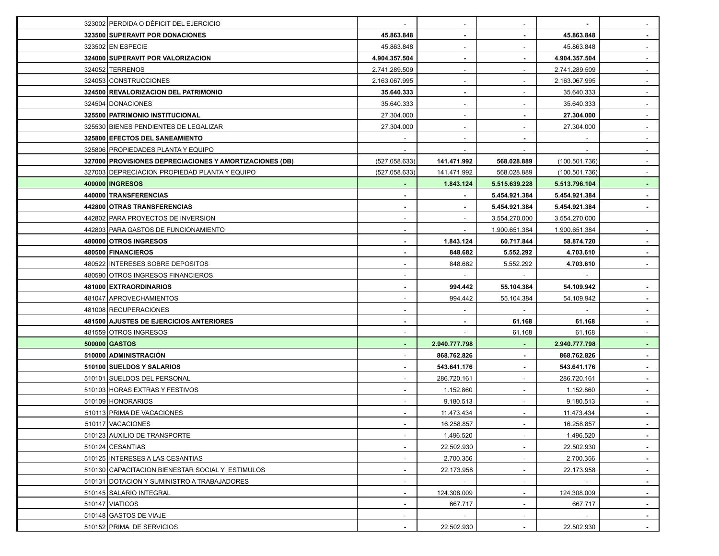| 323002 PERDIDA O DÉFICIT DEL EJERCICIO                  | $\sim$                   | $\overline{\phantom{a}}$ | $\overline{\phantom{a}}$ |               | $\sim$                   |
|---------------------------------------------------------|--------------------------|--------------------------|--------------------------|---------------|--------------------------|
| 323500 SUPERAVIT POR DONACIONES                         | 45.863.848               | $\blacksquare$           |                          | 45.863.848    | $\sim$                   |
| 323502 EN ESPECIE                                       | 45.863.848               | $\blacksquare$           |                          | 45.863.848    | $\sim$                   |
| 324000 SUPERAVIT POR VALORIZACION                       | 4.904.357.504            | $\blacksquare$           |                          | 4.904.357.504 | $\sim$                   |
| 324052 TERRENOS                                         | 2.741.289.509            | $\sim$                   |                          | 2.741.289.509 | $\sim$                   |
| 324053 CONSTRUCCIONES                                   | 2.163.067.995            | $\overline{\phantom{a}}$ |                          | 2.163.067.995 | $\blacksquare$           |
| 324500 REVALORIZACION DEL PATRIMONIO                    | 35.640.333               | $\blacksquare$           |                          | 35.640.333    | $\overline{\phantom{a}}$ |
| 324504 DONACIONES                                       | 35.640.333               | $\blacksquare$           |                          | 35.640.333    | $\blacksquare$           |
| 325500 PATRIMONIO INSTITUCIONAL                         | 27.304.000               | $\sim$                   |                          | 27.304.000    | $\sim$                   |
| 325530 BIENES PENDIENTES DE LEGALIZAR                   | 27.304.000               | $\sim$                   |                          | 27.304.000    | $\sim$                   |
| 325800 EFECTOS DEL SANEAMIENTO                          |                          | $\sim$                   |                          |               | $\sim$                   |
| 325806 PROPIEDADES PLANTA Y EQUIPO                      |                          |                          |                          |               |                          |
| 327000 PROVISIONES DEPRECIACIONES Y AMORTIZACIONES (DB) | (527.058.633)            | 141.471.992              | 568.028.889              | (100.501.736) |                          |
| 327003 DEPRECIACION PROPIEDAD PLANTA Y EQUIPO           | (527.058.633)            | 141.471.992              | 568.028.889              | (100.501.736) |                          |
| 400000   INGRESOS                                       |                          | 1.843.124                | 5.515.639.228            | 5.513.796.104 | $\sim$                   |
| 440000 TRANSFERENCIAS                                   |                          | $\blacksquare$           | 5.454.921.384            | 5.454.921.384 |                          |
| 442800 OTRAS TRANSFERENCIAS                             |                          |                          | 5.454.921.384            | 5.454.921.384 |                          |
| 442802 PARA PROYECTOS DE INVERSION                      |                          | $\sim$                   | 3.554.270.000            | 3.554.270.000 |                          |
| 442803 PARA GASTOS DE FUNCIONAMIENTO                    | $\overline{\phantom{a}}$ | $\sim$                   | 1.900.651.384            | 1.900.651.384 | $\sim$                   |
| 480000 OTROS INGRESOS                                   | $\sim$                   | 1.843.124                | 60.717.844               | 58.874.720    | $\sim$                   |
| 480500 FINANCIEROS                                      |                          | 848.682                  | 5.552.292                | 4.703.610     | $\sim$                   |
| 480522 INTERESES SOBRE DEPOSITOS                        |                          | 848.682                  | 5.552.292                | 4.703.610     | $\sim$                   |
| 480590 OTROS INGRESOS FINANCIEROS                       |                          |                          |                          |               |                          |
| 481000 EXTRAORDINARIOS                                  |                          | 994.442                  | 55.104.384               | 54.109.942    |                          |
| 481047 APROVECHAMIENTOS                                 |                          | 994.442                  | 55.104.384               | 54.109.942    | $\blacksquare$           |
| 481008 RECUPERACIONES                                   |                          |                          | $\sim$                   |               | $\blacksquare$           |
| <b>481500 AJUSTES DE EJERCICIOS ANTERIORES</b>          |                          |                          | 61.168                   | 61.168        | $\blacksquare$           |
| 481559 OTROS INGRESOS                                   |                          |                          | 61.168                   | 61.168        | $\blacksquare$           |
| 500000 GASTOS                                           |                          | 2.940.777.798            |                          | 2.940.777.798 | ٠                        |
| 510000 ADMINISTRACIÓN                                   |                          | 868.762.826              | ٠                        | 868.762.826   | $\sim$                   |
| 510100 SUELDOS Y SALARIOS                               |                          | 543.641.176              |                          | 543.641.176   | $\sim$                   |
| 510101 SUELDOS DEL PERSONAL                             |                          | 286.720.161              |                          | 286.720.161   |                          |
| 510103 HORAS EXTRAS Y FESTIVOS                          |                          | 1.152.860                |                          | 1.152.860     |                          |
| 510109 HONORARIOS                                       |                          | 9.180.513                |                          | 9.180.513     |                          |
| 510113 PRIMA DE VACACIONES                              |                          | 11.473.434               | $\sim$                   | 11.473.434    | $\sim$                   |
| 510117 VACACIONES                                       | $\sim$                   | 16.258.857               | $\sim$                   | 16.258.857    | $\sim$                   |
| 510123 AUXILIO DE TRANSPORTE                            |                          | 1.496.520                |                          | 1.496.520     | ۰.                       |
| 510124 CESANTIAS                                        | $\overline{\phantom{a}}$ | 22.502.930               | $\overline{\phantom{a}}$ | 22.502.930    | $\sim$                   |
| 510125 INTERESES A LAS CESANTIAS                        | $\sim$                   | 2.700.356                | $\sim$                   | 2.700.356     | $\sim$                   |
| 510130 CAPACITACION BIENESTAR SOCIAL Y ESTIMULOS        | $\sim$                   | 22.173.958               | $\sim$                   | 22.173.958    | $\sim$                   |
| 510131 DOTACION Y SUMINISTRO A TRABAJADORES             | $\sim$                   | $\sim$                   | $\sim$                   | $\sim$        | $\sim$                   |
| 510145 SALARIO INTEGRAL                                 | $\sim$                   | 124.308.009              |                          | 124.308.009   | $\sim$                   |
| 510147 VIATICOS                                         | $\sim$                   | 667.717                  | $\overline{\phantom{a}}$ | 667.717       | $\sim$                   |
| 510148 GASTOS DE VIAJE                                  | $\sim$                   |                          | $\sim$                   |               | $\sim$                   |
| 510152 PRIMA DE SERVICIOS                               |                          | 22.502.930               | $\sim$                   | 22.502.930    | $\sim$                   |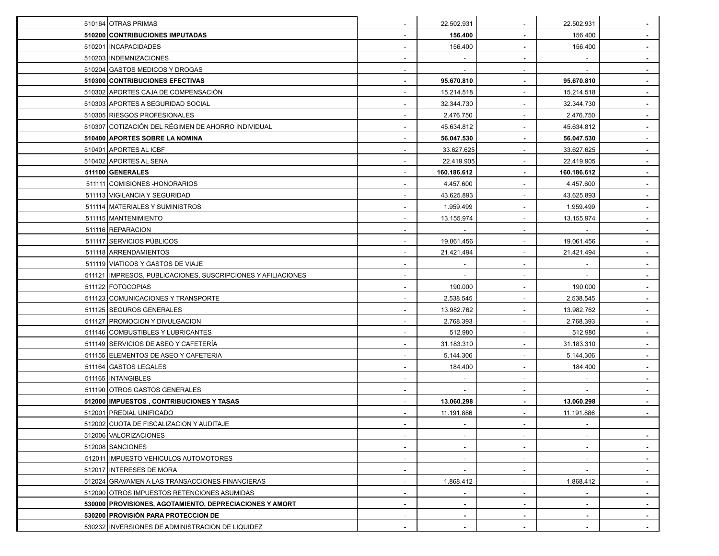| 510164 OTRAS PRIMAS                                            | $\sim$                   | 22.502.931               |                          | 22.502.931               | $\sim$         |
|----------------------------------------------------------------|--------------------------|--------------------------|--------------------------|--------------------------|----------------|
| 510200 CONTRIBUCIONES IMPUTADAS                                | $\overline{\phantom{a}}$ | 156.400                  | $\blacksquare$           | 156.400                  | $\sim$         |
| 510201 INCAPACIDADES                                           | $\overline{\phantom{a}}$ | 156.400                  | $\blacksquare$           | 156.400                  | $\sim$         |
| 510203   INDEMNIZACIONES                                       |                          |                          | $\blacksquare$           |                          | $\sim$         |
| 510204 GASTOS MEDICOS Y DROGAS                                 |                          |                          |                          |                          | $\sim$         |
| 510300 CONTRIBUCIONES EFECTIVAS                                |                          | 95.670.810               |                          | 95.670.810               | $\sim$         |
| 510302 APORTES CAJA DE COMPENSACIÓN                            |                          | 15.214.518               |                          | 15.214.518               | $\blacksquare$ |
| 510303 APORTES A SEGURIDAD SOCIAL                              |                          | 32.344.730               | $\blacksquare$           | 32.344.730               | $\blacksquare$ |
| 510305 RIESGOS PROFESIONALES                                   |                          | 2.476.750                |                          | 2.476.750                | $\blacksquare$ |
| 510307 COTIZACIÓN DEL RÉGIMEN DE AHORRO INDIVIDUAL             |                          | 45.634.812               |                          | 45.634.812               | $\blacksquare$ |
| 510400 APORTES SOBRE LA NOMINA                                 |                          | 56.047.530               |                          | 56.047.530               | $\sim$         |
| 510401 APORTES AL ICBF                                         |                          | 33.627.625               |                          | 33.627.625               | $\sim$         |
| 510402 APORTES AL SENA                                         | $\overline{\phantom{a}}$ | 22.419.905               | $\sim$                   | 22.419.905               | $\sim$         |
| 511100 GENERALES                                               |                          | 160.186.612              |                          | 160.186.612              | $\sim$         |
| 511111 COMISIONES - HONORARIOS                                 |                          | 4.457.600                |                          | 4.457.600                | $\blacksquare$ |
| 511113 VIGILANCIA Y SEGURIDAD                                  |                          | 43.625.893               |                          | 43.625.893               |                |
| 511114 MATERIALES Y SUMINISTROS                                | $\overline{\phantom{a}}$ | 1.959.499                | $\overline{\phantom{a}}$ | 1.959.499                | $\sim$         |
| 511115 MANTENIMIENTO                                           | $\overline{\phantom{a}}$ | 13.155.974               | $\blacksquare$           | 13.155.974               | $\blacksquare$ |
| 511116 REPARACION                                              |                          |                          |                          |                          | $\blacksquare$ |
| 511117 SERVICIOS PÚBLICOS                                      |                          | 19.061.456               |                          | 19.061.456               | $\sim$         |
| 511118 ARRENDAMIENTOS                                          | $\overline{\phantom{a}}$ | 21.421.494               |                          | 21.421.494               | $\sim$         |
| 511119 VIATICOS Y GASTOS DE VIAJE                              | $\overline{\phantom{a}}$ | $\overline{\phantom{a}}$ | ٠                        |                          | $\sim$         |
| 511121   IMPRESOS, PUBLICACIONES, SUSCRIPCIONES Y AFILIACIONES | $\sim$                   | $\sim$                   | $\sim$                   | $\sim$                   | $\sim$         |
| 511122 FOTOCOPIAS                                              |                          | 190.000                  |                          | 190.000                  | $\sim$         |
| 511123 COMUNICACIONES Y TRANSPORTE                             |                          | 2.538.545                |                          | 2.538.545                | $\blacksquare$ |
| 511125 SEGUROS GENERALES                                       |                          | 13.982.762               |                          | 13.982.762               | $\sim$         |
| 511127 PROMOCION Y DIVULGACION                                 |                          | 2.768.393                |                          | 2.768.393                | $\blacksquare$ |
| 511146 COMBUSTIBLES Y LUBRICANTES                              | $\overline{\phantom{a}}$ | 512.980                  | $\blacksquare$           | 512.980                  | $\sim$         |
| 511149 SERVICIOS DE ASEO Y CAFETERÍA                           |                          | 31.183.310               |                          | 31.183.310               | $\blacksquare$ |
| 511155 ELEMENTOS DE ASEO Y CAFETERIA                           |                          | 5.144.306                |                          | 5.144.306                | $\blacksquare$ |
| 511164 GASTOS LEGALES                                          |                          | 184.400                  |                          | 184.400                  | $\sim$         |
| 511165   INTANGIBLES                                           | $\overline{\phantom{a}}$ | $\sim$                   | $\overline{\phantom{a}}$ | $\overline{\phantom{a}}$ | $\sim$         |
| 511190 OTROS GASTOS GENERALES                                  | $\sim$                   | $\blacksquare$           | $\sim$                   | $\overline{\phantom{a}}$ | $\sim$         |
| 512000 IMPUESTOS, CONTRIBUCIONES Y TASAS                       |                          | 13.060.298               |                          | 13.060.298               | $\sim$         |
| 512001 PREDIAL UNIFICADO                                       |                          | 11.191.886               |                          | 11.191.886               | $\sim$         |
| 512002 CUOTA DE FISCALIZACION Y AUDITAJE                       |                          |                          |                          |                          |                |
| 512006 VALORIZACIONES                                          | $\overline{\phantom{a}}$ | $\sim$                   | $\sim$                   | $\overline{\phantom{a}}$ | $\sim$         |
| 512008 SANCIONES                                               | $\sim$                   | $\blacksquare$           | $\sim$                   | $\sim$                   | $\sim$         |
| 512011   IMPUESTO VEHICULOS AUTOMOTORES                        | $\sim$                   | $\sim$                   | $\overline{\phantom{a}}$ | $\sim$                   | $\blacksquare$ |
| 512017 INTERESES DE MORA                                       | $\overline{\phantom{a}}$ | $\sim$                   | $\overline{\phantom{a}}$ | ٠                        | $\blacksquare$ |
| 512024 GRAVAMEN A LAS TRANSACCIONES FINANCIERAS                | $\overline{\phantom{a}}$ | 1.868.412                | $\sim$                   | 1.868.412                | $\sim$         |
| 512090 OTROS IMPUESTOS RETENCIONES ASUMIDAS                    | $\sim$                   | $\sim$                   | $\sim$                   | $\sim$                   | $\sim$         |
| 530000 PROVISIONES, AGOTAMIENTO, DEPRECIACIONES Y AMORT        | $\sim$                   | $\sim$                   | $\sim$                   | $\sim$                   | $\sim$         |
| 530200 PROVISIÓN PARA PROTECCION DE                            | $\sim$                   | $\sim$                   | $\blacksquare$           | $\blacksquare$           | $\sim$         |
| 530232 INVERSIONES DE ADMINISTRACION DE LIQUIDEZ               |                          | $\overline{\phantom{a}}$ |                          |                          | ۰.             |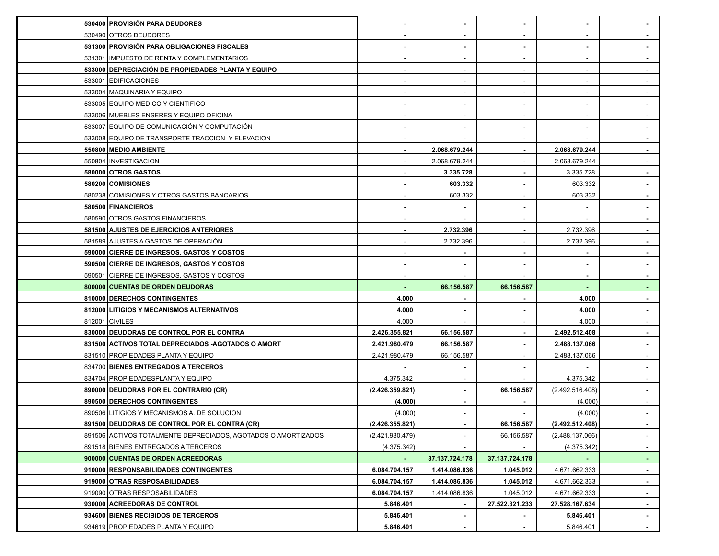| 530400 PROVISIÓN PARA DEUDORES                                |                          | $\blacksquare$           |                | $\blacksquare$           |                          |
|---------------------------------------------------------------|--------------------------|--------------------------|----------------|--------------------------|--------------------------|
| 530490 OTROS DEUDORES                                         |                          | $\sim$                   |                | $\overline{\phantom{a}}$ |                          |
| 531300 PROVISIÓN PARA OBLIGACIONES FISCALES                   |                          | $\blacksquare$           |                |                          |                          |
| 531301 IMPUESTO DE RENTA Y COMPLEMENTARIOS                    |                          | $\sim$                   |                |                          |                          |
| 533000 DEPRECIACIÓN DE PROPIEDADES PLANTA Y EQUIPO            |                          | $\sim$                   |                |                          |                          |
| 533001 EDIFICACIONES                                          |                          | $\sim$                   |                | $\overline{\phantom{a}}$ |                          |
| 533004   MAQUINARIA Y EQUIPO                                  |                          | $\overline{\phantom{a}}$ |                |                          |                          |
| 533005 EQUIPO MEDICO Y CIENTIFICO                             |                          | $\sim$                   |                |                          |                          |
| 533006 MUEBLES ENSERES Y EQUIPO OFICINA                       |                          | $\overline{\phantom{a}}$ |                |                          |                          |
| 533007 LEQUIPO DE COMUNICACIÓN Y COMPUTACIÓN                  |                          | $\overline{\phantom{a}}$ |                |                          |                          |
| 533008 EQUIPO DE TRANSPORTE TRACCION Y ELEVACION              | $\overline{\phantom{a}}$ | $\sim$                   | $\sim$         |                          |                          |
| 550800 MEDIO AMBIENTE                                         |                          | 2.068.679.244            |                | 2.068.679.244            | $\blacksquare$           |
| 550804 INVESTIGACION                                          |                          | 2.068.679.244            |                | 2.068.679.244            |                          |
| 580000 OTROS GASTOS                                           |                          | 3.335.728                |                | 3.335.728                |                          |
| 580200 COMISIONES                                             |                          | 603.332                  |                | 603.332                  |                          |
| 580238 COMISIONES Y OTROS GASTOS BANCARIOS                    |                          | 603.332                  |                | 603.332                  |                          |
| 580500 FINANCIEROS                                            |                          |                          |                |                          |                          |
| 580590 OTROS GASTOS FINANCIEROS                               |                          |                          |                |                          |                          |
| 581500 AJUSTES DE EJERCICIOS ANTERIORES                       |                          | 2.732.396                |                | 2.732.396                |                          |
| 581589 AJUSTES A GASTOS DE OPERACIÓN                          |                          | 2.732.396                |                | 2.732.396                |                          |
| 590000 CIERRE DE INGRESOS, GASTOS Y COSTOS                    |                          | $\sim$                   |                | $\blacksquare$           |                          |
| 590500 CIERRE DE INGRESOS, GASTOS Y COSTOS                    |                          | $\blacksquare$           |                | $\blacksquare$           |                          |
| 590501 CIERRE DE INGRESOS, GASTOS Y COSTOS                    |                          |                          |                |                          |                          |
| 800000 CUENTAS DE ORDEN DEUDORAS                              |                          | 66.156.587               | 66.156.587     |                          |                          |
| 810000 DERECHOS CONTINGENTES                                  | 4.000                    |                          |                | 4.000                    |                          |
| 812000 LITIGIOS Y MECANISMOS ALTERNATIVOS                     | 4.000                    | $\blacksquare$           |                | 4.000                    |                          |
| 812001 CIVILES                                                | 4.000                    | $\overline{\phantom{a}}$ |                | 4.000                    |                          |
| 830000 DEUDORAS DE CONTROL POR EL CONTRA                      | 2.426.355.821            | 66.156.587               |                | 2.492.512.408            |                          |
| 831500 ACTIVOS TOTAL DEPRECIADOS - AGOTADOS O AMORT           | 2.421.980.479            | 66.156.587               |                | 2.488.137.066            |                          |
| 831510 PROPIEDADES PLANTA Y EQUIPO                            | 2.421.980.479            | 66.156.587               |                | 2.488.137.066            |                          |
| 834700 BIENES ENTREGADOS A TERCEROS                           |                          | $\blacksquare$           | $\blacksquare$ |                          | $\overline{\phantom{a}}$ |
| 834704 PROPIEDADESPLANTA Y EQUIPO                             | 4.375.342                | $\sim$                   | $\sim$         | 4.375.342                | $\sim$                   |
| 890000 DEUDORAS POR EL CONTRARIO (CR)                         | (2.426.359.821)          | $\blacksquare$           | 66.156.587     | (2.492.516.408)          |                          |
| 890500 DERECHOS CONTINGENTES                                  | (4.000)                  |                          |                | (4.000)                  |                          |
| 890506 LITIGIOS Y MECANISMOS A. DE SOLUCION                   | (4.000)                  |                          |                | (4.000)                  |                          |
| 891500 DEUDORAS DE CONTROL POR EL CONTRA (CR)                 | (2.426.355.821)          | $\sim$                   | 66.156.587     | (2.492.512.408)          |                          |
| 891506 ACTIVOS TOTALMENTE DEPRECIADOS, AGOTADOS O AMORTIZADOS | (2.421.980.479)          | $\sim$                   | 66.156.587     | (2.488.137.066)          |                          |
| 891518 BIENES ENTREGADOS A TERCEROS                           | (4.375.342)              |                          |                | (4.375.342)              | $\sim$                   |
| 900000 CUENTAS DE ORDEN ACREEDORAS                            |                          | 37.137.724.178           | 37.137.724.178 |                          |                          |
| 910000 RESPONSABILIDADES CONTINGENTES                         | 6.084.704.157            | 1.414.086.836            | 1.045.012      | 4.671.662.333            | $\sim$                   |
| 919000 OTRAS RESPOSABILIDADES                                 | 6.084.704.157            | 1.414.086.836            | 1.045.012      | 4.671.662.333            | $\sim$                   |
| 919090 OTRAS RESPOSABILIDADES                                 | 6.084.704.157            | 1.414.086.836            | 1.045.012      | 4.671.662.333            | $\sim$                   |
| 930000 ACREEDORAS DE CONTROL                                  | 5.846.401                | $\sim$                   | 27.522.321.233 | 27.528.167.634           | $\sim$                   |
| 934600 BIENES RECIBIDOS DE TERCEROS                           | 5.846.401                | $\sim$                   |                | 5.846.401                | $\sim$                   |
| 934619 PROPIEDADES PLANTA Y EQUIPO                            | 5.846.401                | $\sim$                   |                | 5.846.401                | $\sim$                   |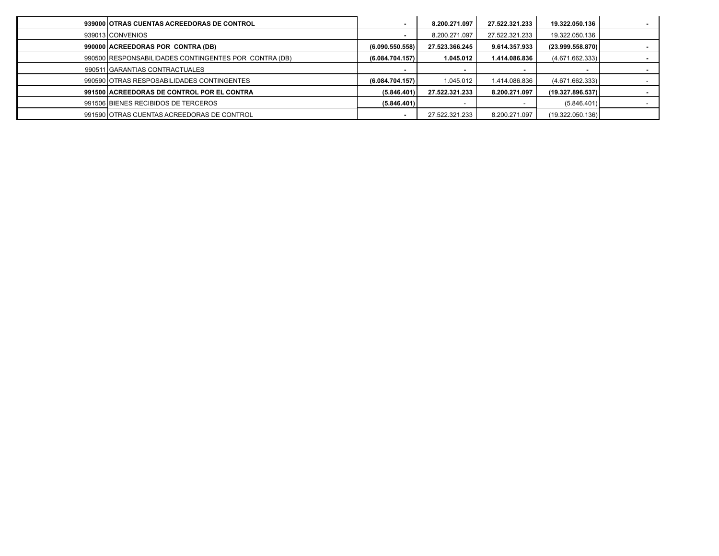| 939000 OTRAS CUENTAS ACREEDORAS DE CONTROL            |                 | 8.200.271.097  | 27.522.321.233 | 19.322.050.136   |  |
|-------------------------------------------------------|-----------------|----------------|----------------|------------------|--|
| 939013 CONVENIOS                                      |                 | 8.200.271.097  | 27.522.321.233 | 19.322.050.136   |  |
| 990000 ACREEDORAS POR CONTRA (DB)                     | (6.090.550.558) | 27.523.366.245 | 9.614.357.933  | (23.999.558.870) |  |
| 990500 RESPONSABILIDADES CONTINGENTES POR CONTRA (DB) | (6.084.704.157) | 1.045.012      | 1.414.086.836  | (4.671.662.333)  |  |
| 990511 GARANTIAS CONTRACTUALES                        |                 |                |                |                  |  |
| 990590 OTRAS RESPOSABILIDADES CONTINGENTES            | (6.084.704.157) | 1.045.012      | 1.414.086.836  | (4.671.662.333)  |  |
| 991500 ACREEDORAS DE CONTROL POR EL CONTRA            | (5.846.401)     | 27.522.321.233 | 8.200.271.097  | (19.327.896.537) |  |
| 991506 BIENES RECIBIDOS DE TERCEROS                   | (5.846.401)     |                |                | (5.846.401)      |  |
| 991590 OTRAS CUENTAS ACREEDORAS DE CONTROL            |                 | 27.522.321.233 | 8.200.271.097  | (19.322.050.136) |  |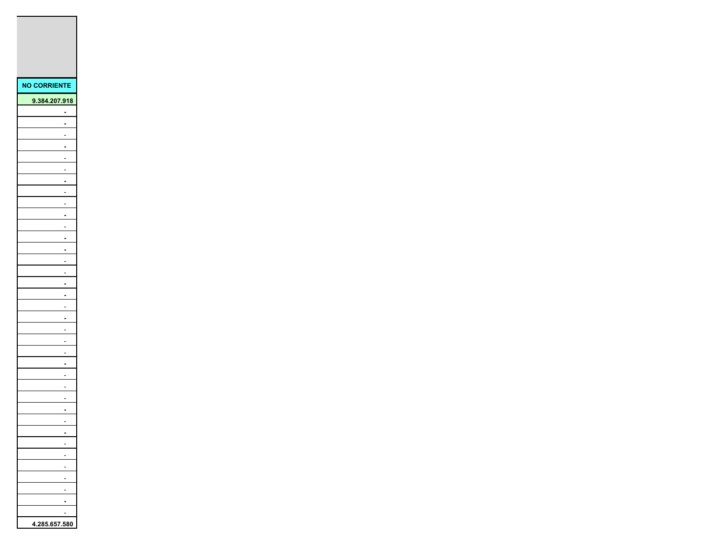| <b>NO CORRIENTE</b>                                  |
|------------------------------------------------------|
| 9.384.207.918                                        |
|                                                      |
|                                                      |
|                                                      |
|                                                      |
|                                                      |
| L,                                                   |
| Ì                                                    |
| $\overline{a}$                                       |
| $\overline{\phantom{a}}$                             |
| $\overline{ }$                                       |
| $\overline{a}$                                       |
|                                                      |
|                                                      |
|                                                      |
|                                                      |
| $\overline{\phantom{a}}$                             |
| $\overline{\phantom{a}}$<br>$\overline{\phantom{a}}$ |
| $\overline{a}$                                       |
| Ė                                                    |
| $\overline{a}$                                       |
|                                                      |
| j                                                    |
|                                                      |
|                                                      |
| ï                                                    |
| Ì.                                                   |
| $\overline{a}$                                       |
| $\overline{a}$                                       |
|                                                      |
|                                                      |
|                                                      |
|                                                      |
|                                                      |
| j                                                    |
|                                                      |
| 4.285.657.580                                        |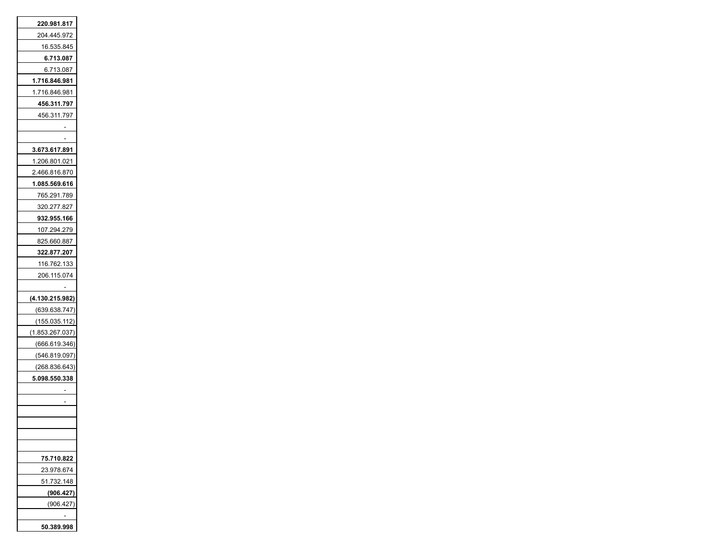| 220.981.817     |
|-----------------|
| 204.445.972     |
| 16.535.845      |
| 6.713.087       |
| 6.713.087       |
| 1.716.846.981   |
| 1.716.846.981   |
| 456.311.797     |
| 456.311.797     |
|                 |
|                 |
| 3.673.617.891   |
| 1.206.801.021   |
| 2.466.816.870   |
| 1.085.569.616   |
| 765.291.789     |
| 320.277.827     |
| 932.955.166     |
| 107.294.279     |
| 825.660.887     |
| 322.877.207     |
| 116.762.133     |
| 206.115.074     |
|                 |
| (4.130.215.982) |
| (639.638.747)   |
| (155.035.112)   |
| (1.853.267.037) |
| (666.619.346)   |
| (546.819.097)   |
| (268.836.643)   |
| 5.098.550.338   |
|                 |
|                 |
|                 |
|                 |
|                 |
|                 |
| 75.710.822      |
| 23.978.674      |
| 51.732.148      |
| (906.427)       |
| (906.427)       |
|                 |
| 50.389.998      |
|                 |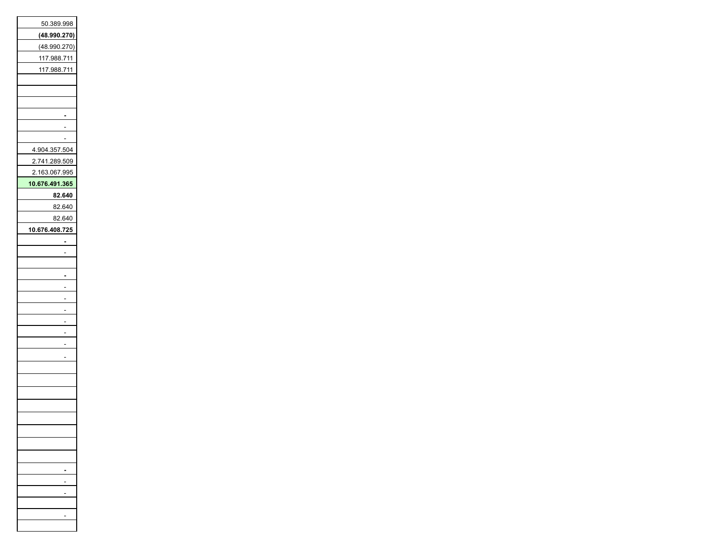| 50.389.998     |
|----------------|
| (48.990.270)   |
| (48.990.270)   |
| 117.988.711    |
| 117.988.711    |
|                |
|                |
|                |
|                |
|                |
|                |
| 4.904.357.504  |
| 2.741.289.509  |
| 2.163.067.995  |
| 10.676.491.365 |
| 82.640         |
| 82.640         |
| 82.640         |
| 10.676.408.725 |
|                |
|                |
|                |
|                |
|                |
|                |
|                |
|                |
|                |
|                |
|                |
|                |
|                |
|                |
|                |
|                |
|                |
|                |
|                |
|                |
|                |
|                |
|                |
|                |
|                |
|                |
|                |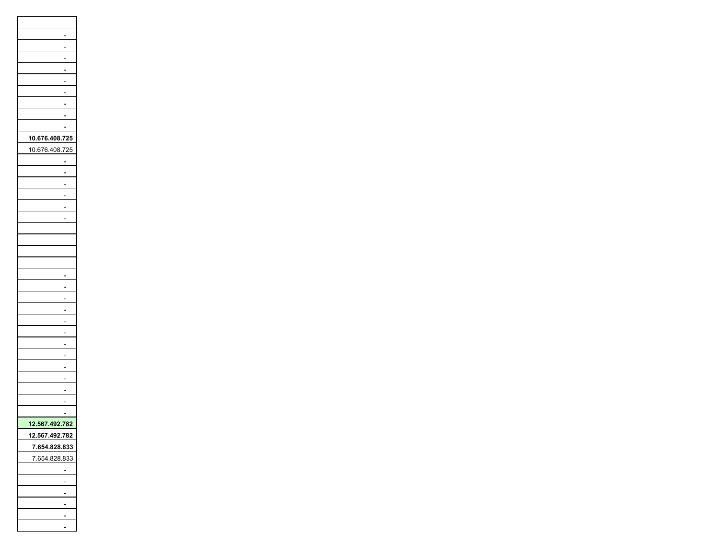| 10.676.408.725 |
|----------------|
| 10.676.408.725 |
|                |
|                |
|                |
|                |
|                |
|                |
|                |
|                |
|                |
|                |
|                |
|                |
|                |
|                |
|                |
|                |
|                |
|                |
|                |
|                |
|                |
|                |
|                |
|                |
|                |
| 12.567.492.782 |
| 12.567.492.782 |
| 7.654.828.833  |
| 7.654.828.833  |
|                |
|                |
|                |
|                |
|                |
|                |
|                |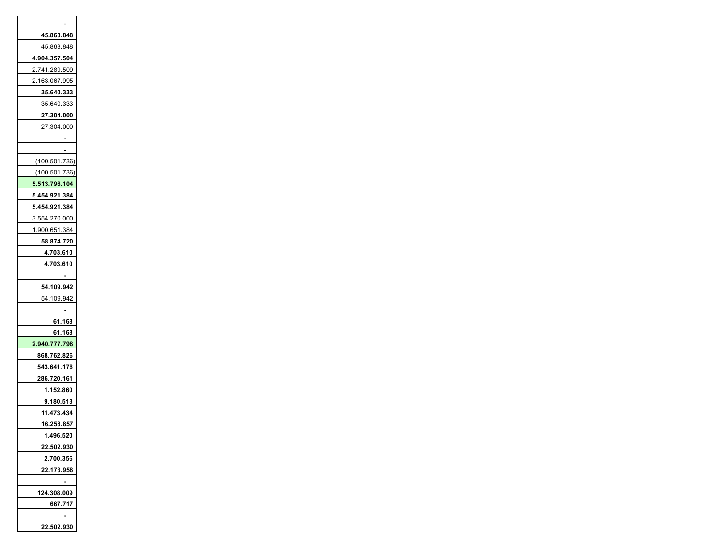| 45.863.848<br>45.863.848<br>4.904.357.504<br>2.741.289.509<br>2.163.067.995<br>35.640.333<br>35.640.333<br>27.304.000<br>27.304.000<br>(100.501.736)<br>(100.501.736)<br>5.513.796.104<br>5.454.921.384<br>5.454.921.384<br>3.554.270.000<br>1.900.651.384<br>58.874.720<br>4.703.610<br>4.703.610<br>54.109.942<br>54.109.942<br>61.168<br>61.168<br>2.940.777.798<br>868.762.826<br>543.641.176<br>286.720.161<br>1.152.860<br>9.180.513<br>11.473.434<br>Τ<br>1.496.520<br>22.502.930<br>2.700.356<br>22.173.958<br>124.308.009<br>667.717 |            |
|-----------------------------------------------------------------------------------------------------------------------------------------------------------------------------------------------------------------------------------------------------------------------------------------------------------------------------------------------------------------------------------------------------------------------------------------------------------------------------------------------------------------------------------------------|------------|
|                                                                                                                                                                                                                                                                                                                                                                                                                                                                                                                                               |            |
|                                                                                                                                                                                                                                                                                                                                                                                                                                                                                                                                               |            |
|                                                                                                                                                                                                                                                                                                                                                                                                                                                                                                                                               |            |
|                                                                                                                                                                                                                                                                                                                                                                                                                                                                                                                                               |            |
|                                                                                                                                                                                                                                                                                                                                                                                                                                                                                                                                               |            |
|                                                                                                                                                                                                                                                                                                                                                                                                                                                                                                                                               |            |
|                                                                                                                                                                                                                                                                                                                                                                                                                                                                                                                                               |            |
|                                                                                                                                                                                                                                                                                                                                                                                                                                                                                                                                               |            |
|                                                                                                                                                                                                                                                                                                                                                                                                                                                                                                                                               |            |
|                                                                                                                                                                                                                                                                                                                                                                                                                                                                                                                                               |            |
|                                                                                                                                                                                                                                                                                                                                                                                                                                                                                                                                               |            |
|                                                                                                                                                                                                                                                                                                                                                                                                                                                                                                                                               |            |
|                                                                                                                                                                                                                                                                                                                                                                                                                                                                                                                                               |            |
|                                                                                                                                                                                                                                                                                                                                                                                                                                                                                                                                               |            |
|                                                                                                                                                                                                                                                                                                                                                                                                                                                                                                                                               |            |
|                                                                                                                                                                                                                                                                                                                                                                                                                                                                                                                                               |            |
|                                                                                                                                                                                                                                                                                                                                                                                                                                                                                                                                               |            |
|                                                                                                                                                                                                                                                                                                                                                                                                                                                                                                                                               |            |
|                                                                                                                                                                                                                                                                                                                                                                                                                                                                                                                                               |            |
|                                                                                                                                                                                                                                                                                                                                                                                                                                                                                                                                               |            |
|                                                                                                                                                                                                                                                                                                                                                                                                                                                                                                                                               |            |
|                                                                                                                                                                                                                                                                                                                                                                                                                                                                                                                                               |            |
|                                                                                                                                                                                                                                                                                                                                                                                                                                                                                                                                               |            |
|                                                                                                                                                                                                                                                                                                                                                                                                                                                                                                                                               |            |
|                                                                                                                                                                                                                                                                                                                                                                                                                                                                                                                                               |            |
|                                                                                                                                                                                                                                                                                                                                                                                                                                                                                                                                               |            |
|                                                                                                                                                                                                                                                                                                                                                                                                                                                                                                                                               |            |
|                                                                                                                                                                                                                                                                                                                                                                                                                                                                                                                                               |            |
|                                                                                                                                                                                                                                                                                                                                                                                                                                                                                                                                               |            |
|                                                                                                                                                                                                                                                                                                                                                                                                                                                                                                                                               |            |
|                                                                                                                                                                                                                                                                                                                                                                                                                                                                                                                                               |            |
|                                                                                                                                                                                                                                                                                                                                                                                                                                                                                                                                               |            |
|                                                                                                                                                                                                                                                                                                                                                                                                                                                                                                                                               |            |
|                                                                                                                                                                                                                                                                                                                                                                                                                                                                                                                                               |            |
|                                                                                                                                                                                                                                                                                                                                                                                                                                                                                                                                               |            |
|                                                                                                                                                                                                                                                                                                                                                                                                                                                                                                                                               |            |
|                                                                                                                                                                                                                                                                                                                                                                                                                                                                                                                                               |            |
|                                                                                                                                                                                                                                                                                                                                                                                                                                                                                                                                               |            |
|                                                                                                                                                                                                                                                                                                                                                                                                                                                                                                                                               |            |
|                                                                                                                                                                                                                                                                                                                                                                                                                                                                                                                                               |            |
|                                                                                                                                                                                                                                                                                                                                                                                                                                                                                                                                               |            |
|                                                                                                                                                                                                                                                                                                                                                                                                                                                                                                                                               |            |
|                                                                                                                                                                                                                                                                                                                                                                                                                                                                                                                                               |            |
|                                                                                                                                                                                                                                                                                                                                                                                                                                                                                                                                               | 22.502.930 |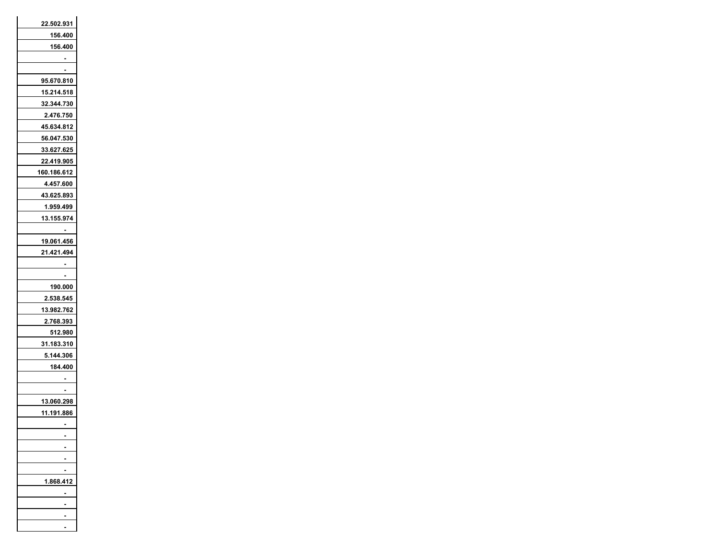| 22.502.931  |
|-------------|
| 156.400     |
| 156.400     |
|             |
|             |
| 95.670.810  |
| 15.214.518  |
| 32.344.730  |
| 2.476.750   |
| 45.634.812  |
| 56.047.530  |
| 33.627.625  |
| 22.419.905  |
| 160.186.612 |
| 4.457.600   |
| 43.625.893  |
| 1.959.499   |
| 13.155.974  |
|             |
| 19.061.456  |
| 21.421.494  |
|             |
|             |
| 190.000     |
| 2.538.545   |
| 13.982.762  |
| 2.768.393   |
| 512.980     |
| 31.183.310  |
| 5.144.306   |
| 184.400     |
|             |
|             |
|             |
| 13.060.298  |
| 11.191.886  |
|             |
|             |
|             |
|             |
|             |
| 1.868       |
|             |
|             |
|             |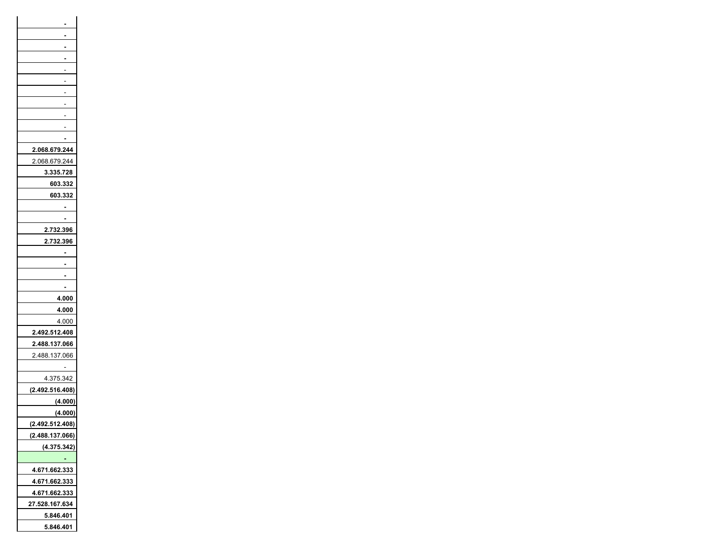| 2.068.679.244   |
|-----------------|
| 2.068.679.244   |
| 3.335.728       |
| 603.332         |
|                 |
| 603.332         |
|                 |
|                 |
| 2.732.396       |
| 2.732.396       |
|                 |
|                 |
|                 |
|                 |
| 4.000           |
| 4.000           |
| 4.000           |
| 2.492.512.408   |
| 2.488.137.066   |
| 2.488.137.066   |
|                 |
| 4.375.342       |
| (2.492.516.408) |
| (4.000)         |
| (4.000)         |
| (2.492.512.408) |
| (2.488.137.066) |
| (4.375.342)     |
|                 |
|                 |
| 4.671.662.333   |
| 4.671.662.333   |
| 4.671.662.333   |
| 27.528.167.634  |
| 5.846.401       |
| 5.846.401       |